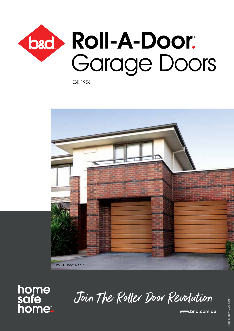

EST. 1956



# home<br>safe<br>home

Join The Roller Door Revolution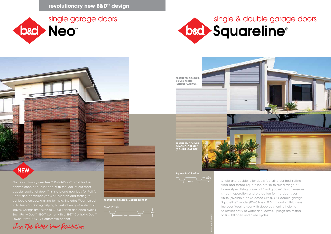



## **NEW**



Our revolutionary new Neo™ Roll-A-Door® provides the convenience of a roller door with the look of our most popular sectional door. This is a brand new look for Roll-A-Door® and combines years of research and testing to achieve a unique, winning formula. Includes Weatherseal with deep cushioning helping to restrict entry of water and leaves. Springs are tested to 30,000 open and close cycles. Each Roll-A-Door® NEO™ comes with a B&D® Controll-A-Door® Power Drive® RDO-1V4 automatic opener.

Single and double roller doors featuring our best-selling tried and tested Squareline profile to suit a range of home styles. Using a special 'mini groove' design ensures smooth operation and protection for the door's paint finish (available on selected sizes). Our double garage Squareline® model (R3W) has a 0.5mm curtain thickness. Includes Weatherseal with deep cushioning helping to restrict entry of water and leaves. Springs are tested to 30,000 open and close cycles.

**FEATURED COLOUR: JAPAN CHERRY**

**FEATURED COLOUR:**



**FEATURED COLOUR: DOVER WHITE (SINGLE GARAGE)**



COLORBOND® Dune®

Neo™ Profile:

Squareline® Profile:

**revolutionary new B&D® design**

16mm

180mm

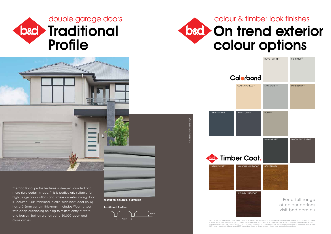

**Communication** 



# bad On trend exterior colour options

The Traditional profile features a deeper, rounded and more rigid curtain shape. This is particularly suitable for high usage applications and where an extra strong door is required. Our Traditional profile Wideline™ door (R2W) has a 0.5mm curtain thickness. Includes Weatherseal with deep cushioning helping to restrict entry of water and leaves. Springs are tested to 30,000 open and close cycles.

The COLORBOND® and Timber Coat™ steel colours shown here have been reproduced to represent actual product colours as accurately as possible. However, we recommend checking your chosen colour against an actual sample of the product before purchasing as varying light conditions and<br>Ilmitations of the printing process may affect colour tones. COLORBOND® and ® colo

**FEATURED COLOUR: SURFMIST**

# COLORBOND® Woodland Grey®



CLASSIC CRE

Colorb







| Öno                  | DOVER WHITE^     | <b>SURFMIST®</b>  |
|----------------------|------------------|-------------------|
| AM™                  | SHALE GREY™      | <b>PAPERBARK®</b> |
| $\overline{)}$       | DUNE®            |                   |
| Joc                  | <b>MONUMENT®</b> | WOODLAND GREY®    |
| IUTWOOD <sup>^</sup> | GOLDEN OAK^      |                   |

HICKORY NUTWOOD^

For a full range of colour options visit bnd.com.au

Traditional Profile:

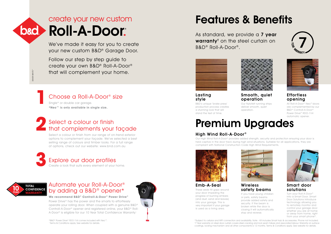## Choose a Roll-A-Door® size

Single\* or double car garage. **\*Neo™ is only available in single size.**

### Automate your Roll-A-Door® by adding a B&D® opener\*

Power Drive® has the power and the smarts to effortlessly operate your rolling door. When coupled with a genuine B&D® Controll-A-Door® opener and registered online, your B&D® Roll-A-Door® is eligible for our 10 Year Total Confidence Warranty.<sup>+</sup>

### **We recommend B&D® Controll-A-Door® Power Drive®**

As standard, we provide a 7 year warranty<sup>t</sup> on the steel curtain on B&D® Roll-A-Door®.



Select a colour or finish from our range of on-trend exterior options to complement your façade. We've selected a best selling range of colours and timber looks. For a full range of options, check out our website: www.bnd.com.au

We've made it easy for you to create your new custom B&D® Garage Door.

Follow our step by step guide to create your own B&D® Roll-A-Door® that will complement your home.

### **Effortless** opening

Lasting style

B&D's unique 'brake press' production process creates a stunning look that will stand the test of time.



These seals fill gaps around your door impeding the progress of burning embers (and dust, sand and leaves) into your garage. This is very important if your garage is used as a living area.



### High Wind Roll-A-Door®

# b&d > Roll-A-Door create your new custom





Our High Wind Roll-A-Door® provides added strength, security and protection ensuring your door is held captive in the door track during high wind situations. Suitable for all applications, they are compliant with National Construction Code High Wind Requirements.





Smooth, quiet



### Select a colour or finish that complements your façade **2**

operation Our Nylofelt running strips deliver smooth, quiet operation.



Wireless safety beams

If you have young children or pets, safety beams provide added safety and security. If the beam is broken while the door is closing it will automatically stop and reverse.



All Roll-A-Door® Neo™doors are complemented by our B&D® Controll-A-Door® Power Drive® RDO-1V4 automatic opener.



### Smart door solutions

Turn your Roll-A-Door® into a Smart Door. Smart Door Solutions introduce technology allowing you to remotely monitor and control your garage door whether you are at home or away from home, right from your smart phone\*.

# Features & Benefits

# Premium Upgrades

\*B&D® Power Drive® RDO-1V4 comes included with Neo™. +Terms & Conditions apply. See website for details.

\*Subject to cellular and WIFI connection and availability. Note - Kit includes Smart Hub & accessories. Phone not included. † 7 Year warranty on steel door curtain covers steel cracking and lock seam failure and associated labour. Warranty on surface coatings, locking mechanism and all other components is 12 months. Terms & Conditions apply. See website for details.





**1**

# DOVER WHITE^